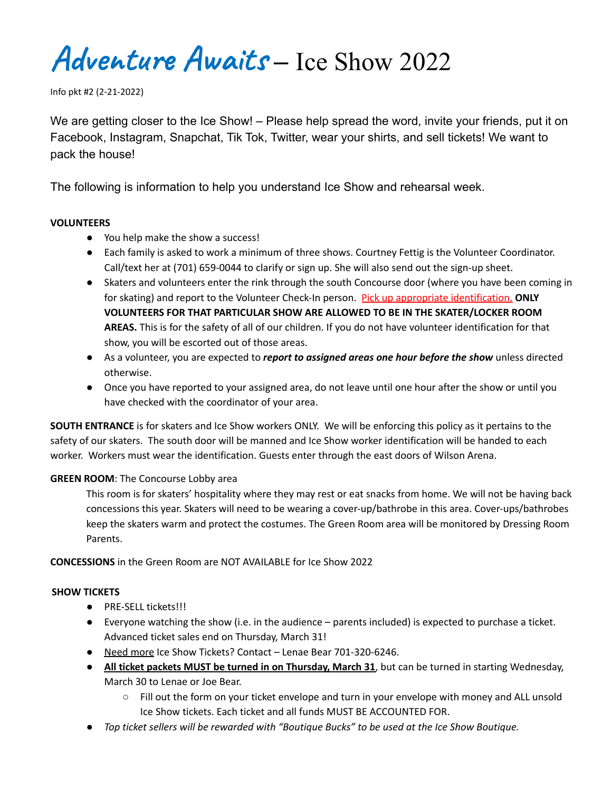**Adventure Awaits** – Ice Show 2022

Info pkt #2 (2-21-2022)

We are getting closer to the Ice Show! – Please help spread the word, invite your friends, put it on Facebook, Instagram, Snapchat, Tik Tok, Twitter, wear your shirts, and sell tickets! We want to pack the house!

The following is information to help you understand Ice Show and rehearsal week.

#### **VOLUNTEERS**

- You help make the show a success!
- Each family is asked to work a minimum of three shows. Courtney Fettig is the Volunteer Coordinator. Call/text her at (701) 659-0044 to clarify or sign up. She will also send out the sign-up sheet.
- Skaters and volunteers enter the rink through the south Concourse door (where you have been coming in for skating) and report to the Volunteer Check-In person. Pick up appropriate identification. **ONLY VOLUNTEERS FOR THAT PARTICULAR SHOW ARE ALLOWED TO BE IN THE SKATER/LOCKER ROOM AREAS.** This is for the safety of all of our children. If you do not have volunteer identification for that show, you will be escorted out of those areas.
- As a volunteer, you are expected to *report to assigned areas one hour before the show* unless directed otherwise.
- Once you have reported to your assigned area, do not leave until one hour after the show or until you have checked with the coordinator of your area.

**SOUTH ENTRANCE** is for skaters and Ice Show workers ONLY. We will be enforcing this policy as it pertains to the safety of our skaters. The south door will be manned and Ice Show worker identification will be handed to each worker. Workers must wear the identification. Guests enter through the east doors of Wilson Arena.

#### **GREEN ROOM**: The Concourse Lobby area

This room is for skaters' hospitality where they may rest or eat snacks from home. We will not be having back concessions this year. Skaters will need to be wearing a cover-up/bathrobe in this area. Cover-ups/bathrobes keep the skaters warm and protect the costumes. The Green Room area will be monitored by Dressing Room Parents.

**CONCESSIONS** in the Green Room are NOT AVAILABLE for Ice Show 2022

#### **SHOW TICKETS**

- PRE-SELL tickets!!!
- Everyone watching the show (i.e. in the audience parents included) is expected to purchase a ticket. Advanced ticket sales end on Thursday, March 31!
- Need more Ice Show Tickets? Contact Lenae Bear 701-320-6246.
- **All ticket packets MUST be turned in on Thursday, March 31**, but can be turned in starting Wednesday, March 30 to Lenae or Joe Bear.
	- Fill out the form on your ticket envelope and turn in your envelope with money and ALL unsold Ice Show tickets. Each ticket and all funds MUST BE ACCOUNTED FOR.
- *Top ticket sellers will be rewarded with "Boutique Bucks" to be used at the Ice Show Boutique.*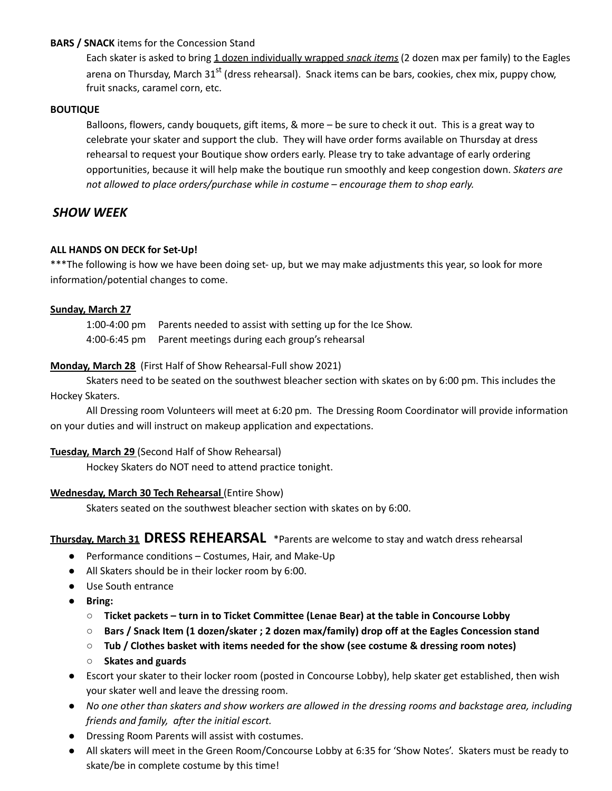#### **BARS / SNACK** items for the Concession Stand

Each skater is asked to bring 1 dozen individually wrapped *snack items* (2 dozen max per family) to the Eagles arena on Thursday, March 31<sup>st</sup> (dress rehearsal). Snack items can be bars, cookies, chex mix, puppy chow, fruit snacks, caramel corn, etc.

#### **BOUTIQUE**

Balloons, flowers, candy bouquets, gift items, & more – be sure to check it out. This is a great way to celebrate your skater and support the club. They will have order forms available on Thursday at dress rehearsal to request your Boutique show orders early. Please try to take advantage of early ordering opportunities, because it will help make the boutique run smoothly and keep congestion down. *Skaters are not allowed to place orders/purchase while in costume – encourage them to shop early.*

## *SHOW WEEK*

#### **ALL HANDS ON DECK for Set-Up!**

\*\*\*The following is how we have been doing set- up, but we may make adjustments this year, so look for more information/potential changes to come.

#### **Sunday, March 27**

1:00-4:00 pm Parents needed to assist with setting up for the Ice Show. 4:00-6:45 pm Parent meetings during each group's rehearsal

#### **Monday, March 28** (First Half of Show Rehearsal-Full show 2021)

Skaters need to be seated on the southwest bleacher section with skates on by 6:00 pm. This includes the Hockey Skaters.

All Dressing room Volunteers will meet at 6:20 pm. The Dressing Room Coordinator will provide information on your duties and will instruct on makeup application and expectations.

#### **Tuesday, March 29** (Second Half of Show Rehearsal)

Hockey Skaters do NOT need to attend practice tonight.

#### **Wednesday, March 30 Tech Rehearsal** (Entire Show)

Skaters seated on the southwest bleacher section with skates on by 6:00.

### **Thursday, March <sup>31</sup> DRESS REHEARSAL** \*Parents are welcome to stay and watch dress rehearsal

- Performance conditions Costumes, Hair, and Make-Up
- All Skaters should be in their locker room by 6:00.
- Use South entrance
- **Bring:**
	- **Ticket packets – turn in to Ticket Committee (Lenae Bear) at the table in Concourse Lobby**
	- **Bars / Snack Item (1 dozen/skater ; 2 dozen max/family) drop off at the Eagles Concession stand**
	- **Tub / Clothes basket with items needed for the show (see costume & dressing room notes)**
	- **Skates and guards**
- Escort your skater to their locker room (posted in Concourse Lobby), help skater get established, then wish your skater well and leave the dressing room.
- No one other than skaters and show workers are allowed in the dressing rooms and backstage area, including *friends and family, after the initial escort.*
- Dressing Room Parents will assist with costumes.
- All skaters will meet in the Green Room/Concourse Lobby at 6:35 for 'Show Notes'. Skaters must be ready to skate/be in complete costume by this time!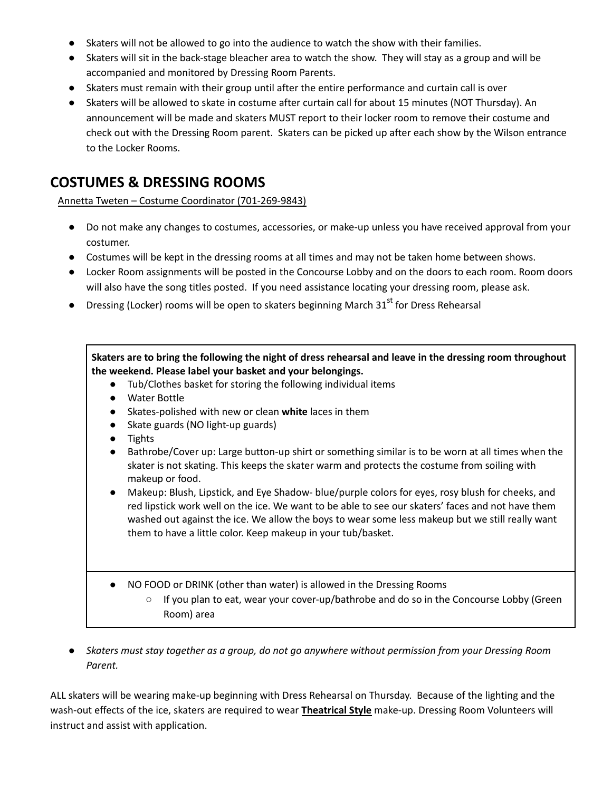- Skaters will not be allowed to go into the audience to watch the show with their families.
- Skaters will sit in the back-stage bleacher area to watch the show. They will stay as a group and will be accompanied and monitored by Dressing Room Parents.
- Skaters must remain with their group until after the entire performance and curtain call is over
- Skaters will be allowed to skate in costume after curtain call for about 15 minutes (NOT Thursday). An announcement will be made and skaters MUST report to their locker room to remove their costume and check out with the Dressing Room parent. Skaters can be picked up after each show by the Wilson entrance to the Locker Rooms.

# **COSTUMES & DRESSING ROOMS**

Annetta Tweten – Costume Coordinator (701-269-9843)

- Do not make any changes to costumes, accessories, or make-up unless you have received approval from your costumer.
- Costumes will be kept in the dressing rooms at all times and may not be taken home between shows.
- Locker Room assignments will be posted in the Concourse Lobby and on the doors to each room. Room doors will also have the song titles posted. If you need assistance locating your dressing room, please ask.
- Dressing (Locker) rooms will be open to skaters beginning March 31<sup>st</sup> for Dress Rehearsal

### Skaters are to bring the following the night of dress rehearsal and leave in the dressing room throughout **the weekend. Please label your basket and your belongings.**

- Tub/Clothes basket for storing the following individual items
- Water Bottle
- Skates-polished with new or clean **white** laces in them
- Skate guards (NO light-up guards)
- Tights
- Bathrobe/Cover up: Large button-up shirt or something similar is to be worn at all times when the skater is not skating. This keeps the skater warm and protects the costume from soiling with makeup or food.
- Makeup: Blush, Lipstick, and Eye Shadow- blue/purple colors for eyes, rosy blush for cheeks, and red lipstick work well on the ice. We want to be able to see our skaters' faces and not have them washed out against the ice. We allow the boys to wear some less makeup but we still really want them to have a little color. Keep makeup in your tub/basket.
- NO FOOD or DRINK (other than water) is allowed in the Dressing Rooms
	- $\circ$  If you plan to eat, wear your cover-up/bathrobe and do so in the Concourse Lobby (Green Room) area
- Skaters must stay together as a group, do not go anywhere without permission from your Dressing Room *Parent.*

ALL skaters will be wearing make-up beginning with Dress Rehearsal on Thursday. Because of the lighting and the wash-out effects of the ice, skaters are required to wear **Theatrical Style** make-up. Dressing Room Volunteers will instruct and assist with application.